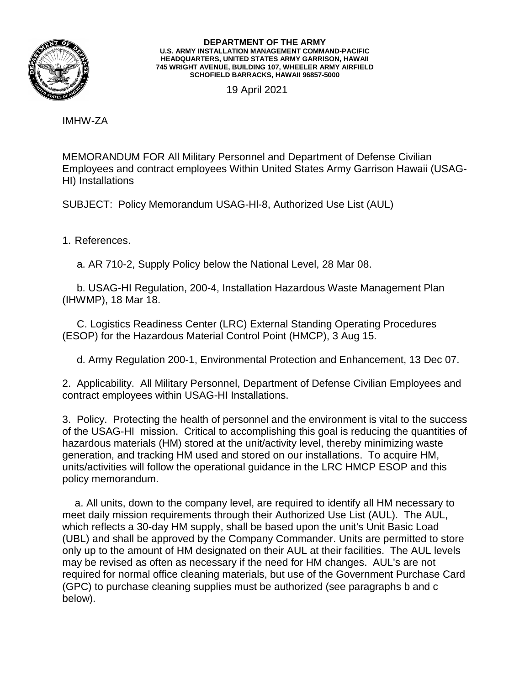

## **DEPARTMENT OF THE ARMY U.S. ARMY INSTALLATION MANAGEMENT COMMAND-PACIFIC HEADQUARTERS, UNITED STATES ARMY GARRISON, HAWAII 745 WRIGHT AVENUE, BUILDING 107, WHEELER ARMY AIRFIELD SCHOFIELD BARRACKS, HAWAII 96857-5000**

19 April 2021

IMHW-ZA

MEMORANDUM FOR All Military Personnel and Department of Defense Civilian Employees and contract employees Within United States Army Garrison Hawaii (USAG-HI) Installations

SUBJECT: Policy Memorandum USAG-Hl-8, Authorized Use List (AUL)

1. References.

a. AR 710-2, Supply Policy below the National Level, 28 Mar 08.

 b. USAG-HI Regulation, 200-4, Installation Hazardous Waste Management Plan (IHWMP), 18 Mar 18.

 C. Logistics Readiness Center (LRC) External Standing Operating Procedures (ESOP) for the Hazardous Material Control Point (HMCP), 3 Aug 15.

d. Army Regulation 200-1, Environmental Protection and Enhancement, 13 Dec 07.

2. Applicability. All Military Personnel, Department of Defense Civilian Employees and contract employees within USAG-HI Installations.

3. Policy. Protecting the health of personnel and the environment is vital to the success of the USAG-HI mission. Critical to accomplishing this goal is reducing the quantities of hazardous materials (HM) stored at the unit/activity level, thereby minimizing waste generation, and tracking HM used and stored on our installations. To acquire HM, units/activities will follow the operational guidance in the LRC HMCP ESOP and this policy memorandum.

a. All units, down to the company level, are required to identify all HM necessary to meet daily mission requirements through their Authorized Use List (AUL). The AUL, which reflects a 30-day HM supply, shall be based upon the unit's Unit Basic Load (UBL) and shall be approved by the Company Commander. Units are permitted to store only up to the amount of HM designated on their AUL at their facilities. The AUL levels may be revised as often as necessary if the need for HM changes. AUL's are not required for normal office cleaning materials, but use of the Government Purchase Card (GPC) to purchase cleaning supplies must be authorized (see paragraphs b and c below).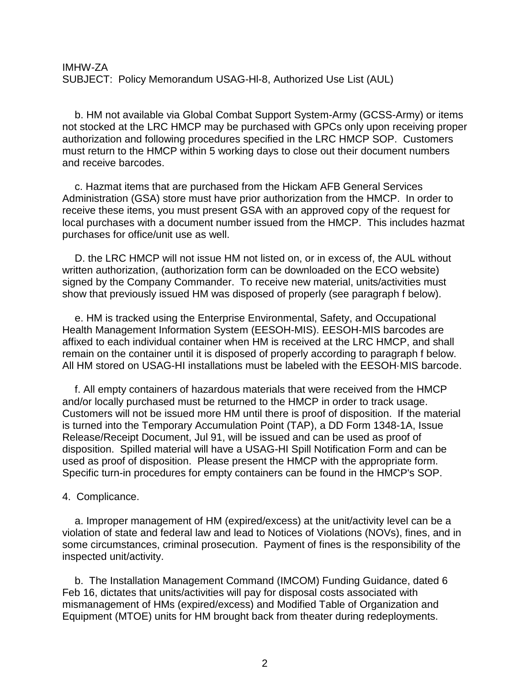b. HM not available via Global Combat Support System-Army (GCSS-Army) or items not stocked at the LRC HMCP may be purchased with GPCs only upon receiving proper authorization and following procedures specified in the LRC HMCP SOP. Customers must return to the HMCP within 5 working days to close out their document numbers and receive barcodes.

c. Hazmat items that are purchased from the Hickam AFB General Services Administration (GSA) store must have prior authorization from the HMCP. In order to receive these items, you must present GSA with an approved copy of the request for local purchases with a document number issued from the HMCP. This includes hazmat purchases for office/unit use as well.

D. the LRC HMCP will not issue HM not listed on, or in excess of, the AUL without written authorization, (authorization form can be downloaded on the ECO website) signed by the Company Commander. To receive new material, units/activities must show that previously issued HM was disposed of properly (see paragraph f below).

e. HM is tracked using the Enterprise Environmental, Safety, and Occupational Health Management Information System (EESOH-MIS). EESOH-MIS barcodes are affixed to each individual container when HM is received at the LRC HMCP, and shall remain on the container until it is disposed of properly according to paragraph f below. All HM stored on USAG-HI installations must be labeled with the EESOH·MIS barcode.

f. All empty containers of hazardous materials that were received from the HMCP and/or locally purchased must be returned to the HMCP in order to track usage. Customers will not be issued more HM until there is proof of disposition. If the material is turned into the Temporary Accumulation Point (TAP), a DD Form 1348-1A, Issue Release/Receipt Document, Jul 91, will be issued and can be used as proof of disposition. Spilled material will have a USAG-HI Spill Notification Form and can be used as proof of disposition. Please present the HMCP with the appropriate form. Specific turn-in procedures for empty containers can be found in the HMCP's SOP.

## 4. Complicance.

a. Improper management of HM (expired/excess) at the unit/activity level can be a violation of state and federal law and lead to Notices of Violations (NOVs), fines, and in some circumstances, criminal prosecution. Payment of fines is the responsibility of the inspected unit/activity.

b. The Installation Management Command (IMCOM) Funding Guidance, dated 6 Feb 16, dictates that units/activities will pay for disposal costs associated with mismanagement of HMs (expired/excess) and Modified Table of Organization and Equipment (MTOE) units for HM brought back from theater during redeployments.